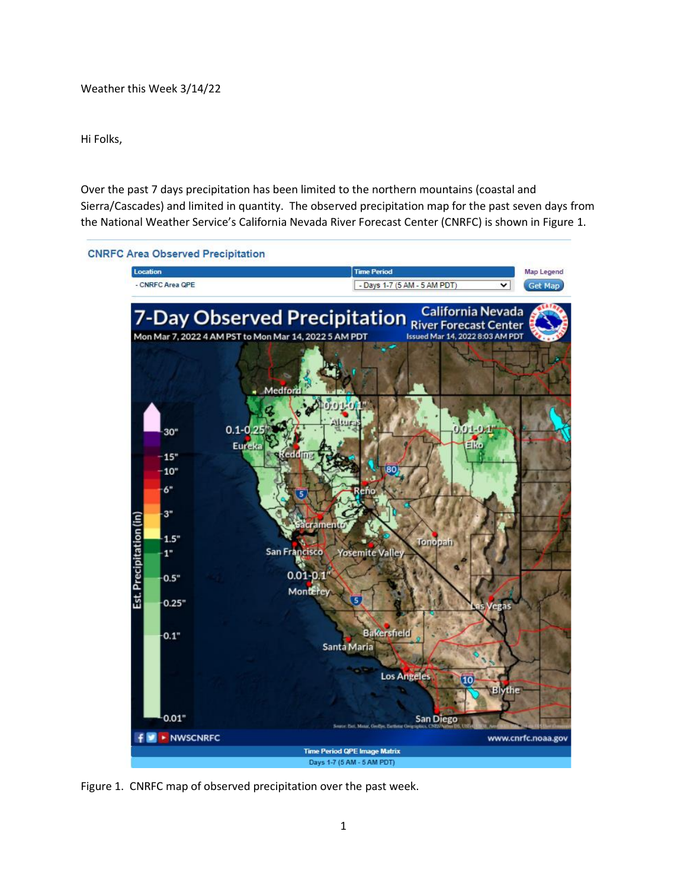Weather this Week 3/14/22

Hi Folks,

Over the past 7 days precipitation has been limited to the northern mountains (coastal and Sierra/Cascades) and limited in quantity. The observed precipitation map for the past seven days from the National Weather Service's California Nevada River Forecast Center (CNRFC) is shown in Figure 1.



Figure 1. CNRFC map of observed precipitation over the past week.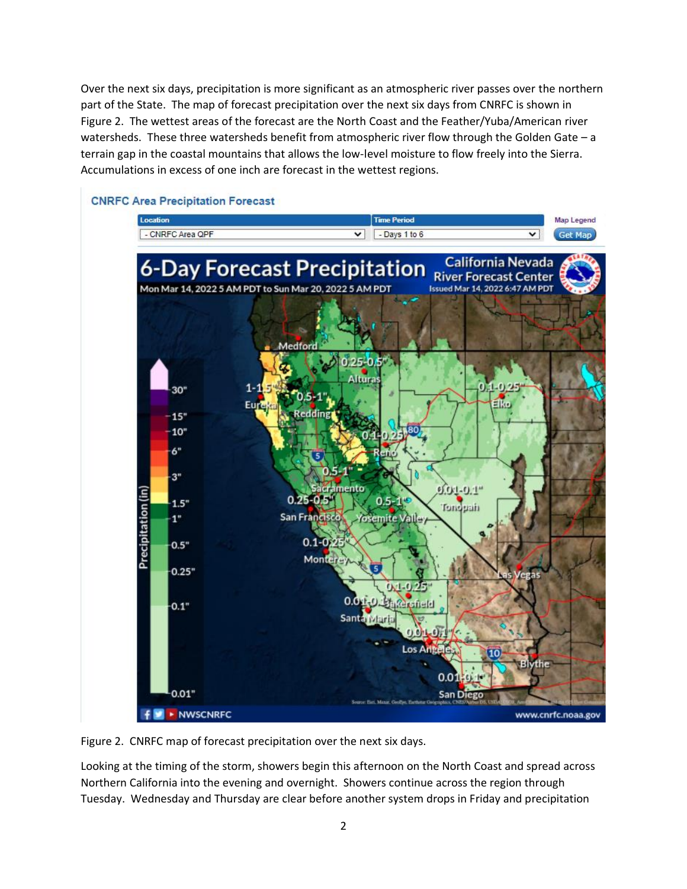Over the next six days, precipitation is more significant as an atmospheric river passes over the northern part of the State. The map of forecast precipitation over the next six days from CNRFC is shown in Figure 2. The wettest areas of the forecast are the North Coast and the Feather/Yuba/American river watersheds. These three watersheds benefit from atmospheric river flow through the Golden Gate – a terrain gap in the coastal mountains that allows the low-level moisture to flow freely into the Sierra. Accumulations in excess of one inch are forecast in the wettest regions.



## **CNRFC Area Precipitation Forecast**

Figure 2. CNRFC map of forecast precipitation over the next six days.

Looking at the timing of the storm, showers begin this afternoon on the North Coast and spread across Northern California into the evening and overnight. Showers continue across the region through Tuesday. Wednesday and Thursday are clear before another system drops in Friday and precipitation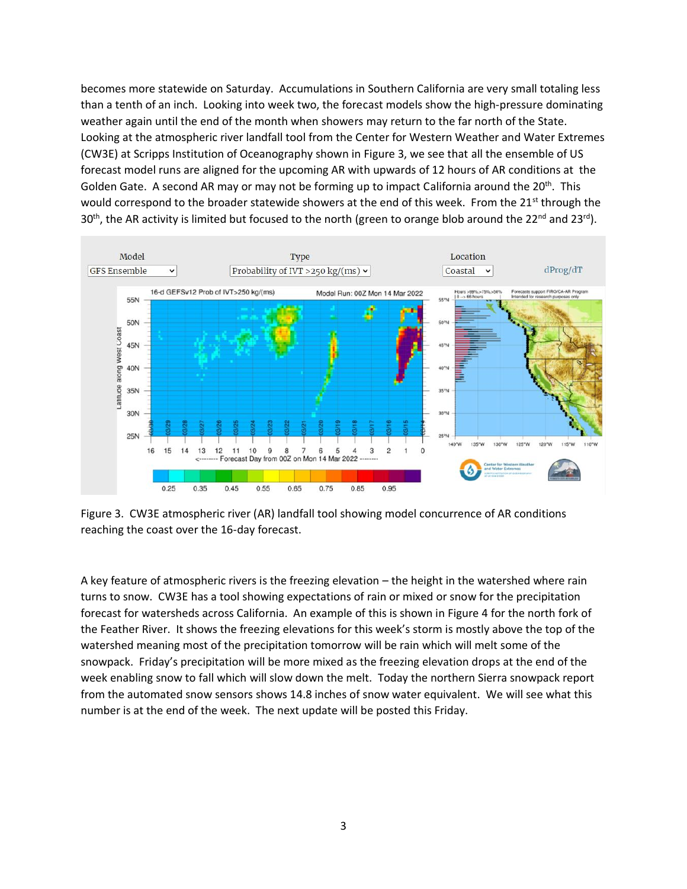becomes more statewide on Saturday. Accumulations in Southern California are very small totaling less than a tenth of an inch. Looking into week two, the forecast models show the high-pressure dominating weather again until the end of the month when showers may return to the far north of the State. Looking at the atmospheric river landfall tool from the Center for Western Weather and Water Extremes (CW3E) at Scripps Institution of Oceanography shown in Figure 3, we see that all the ensemble of US forecast model runs are aligned for the upcoming AR with upwards of 12 hours of AR conditions at the Golden Gate. A second AR may or may not be forming up to impact California around the 20<sup>th</sup>. This would correspond to the broader statewide showers at the end of this week. From the 21<sup>st</sup> through the 30<sup>th</sup>, the AR activity is limited but focused to the north (green to orange blob around the 22<sup>nd</sup> and 23<sup>rd</sup>).



Figure 3. CW3E atmospheric river (AR) landfall tool showing model concurrence of AR conditions reaching the coast over the 16-day forecast.

A key feature of atmospheric rivers is the freezing elevation – the height in the watershed where rain turns to snow. CW3E has a tool showing expectations of rain or mixed or snow for the precipitation forecast for watersheds across California. An example of this is shown in Figure 4 for the north fork of the Feather River. It shows the freezing elevations for this week's storm is mostly above the top of the watershed meaning most of the precipitation tomorrow will be rain which will melt some of the snowpack. Friday's precipitation will be more mixed as the freezing elevation drops at the end of the week enabling snow to fall which will slow down the melt. Today the northern Sierra snowpack report from the automated snow sensors shows 14.8 inches of snow water equivalent. We will see what this number is at the end of the week. The next update will be posted this Friday.